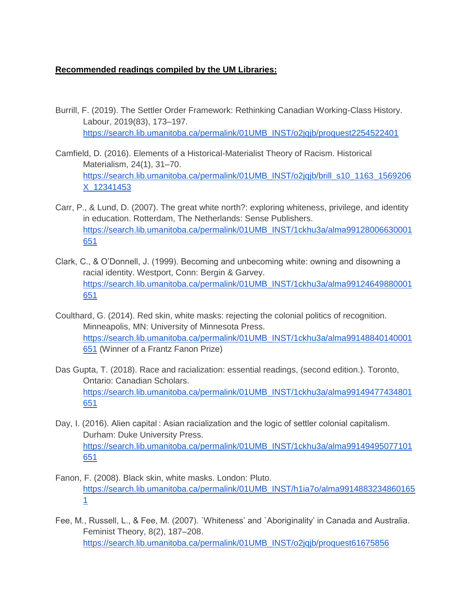## **Recommended readings compiled by the UM Libraries:**

- Burrill, F. (2019). The Settler Order Framework: Rethinking Canadian Working-Class History. Labour, 2019(83), 173–197. [https://search.lib.umanitoba.ca/permalink/01UMB\\_INST/o2jqjb/proquest2254522401](https://search.lib.umanitoba.ca/permalink/01UMB_INST/o2jqjb/proquest2254522401)
- Camfield, D. (2016). Elements of a Historical-Materialist Theory of Racism. Historical Materialism, 24(1), 31–70. [https://search.lib.umanitoba.ca/permalink/01UMB\\_INST/o2jqjb/brill\\_s10\\_1163\\_1569206](https://search.lib.umanitoba.ca/permalink/01UMB_INST/o2jqjb/brill_s10_1163_1569206X_12341453) [X\\_12341453](https://search.lib.umanitoba.ca/permalink/01UMB_INST/o2jqjb/brill_s10_1163_1569206X_12341453)
- Carr, P., & Lund, D. (2007). The great white north?: exploring whiteness, privilege, and identity in education. Rotterdam, The Netherlands: Sense Publishers[.](https://search.lib.umanitoba.ca/permalink/01UMB_INST/1ckhu3a/alma99128006630001651) [https://search.lib.umanitoba.ca/permalink/01UMB\\_INST/1ckhu3a/alma99128006630001](https://search.lib.umanitoba.ca/permalink/01UMB_INST/1ckhu3a/alma99128006630001651) [651](https://search.lib.umanitoba.ca/permalink/01UMB_INST/1ckhu3a/alma99128006630001651)
- Clark, C., & O'Donnell, J. (1999). Becoming and unbecoming white: owning and disowning a racial identity. Westport, Conn: Bergin & Garvey[.](https://search.lib.umanitoba.ca/permalink/01UMB_INST/1ckhu3a/alma99124649880001651) [https://search.lib.umanitoba.ca/permalink/01UMB\\_INST/1ckhu3a/alma99124649880001](https://search.lib.umanitoba.ca/permalink/01UMB_INST/1ckhu3a/alma99124649880001651) [651](https://search.lib.umanitoba.ca/permalink/01UMB_INST/1ckhu3a/alma99124649880001651)
- Coulthard, G. (2014). Red skin, white masks: rejecting the colonial politics of recognition. Minneapolis, MN: University of Minnesota Press[.](https://search.lib.umanitoba.ca/permalink/01UMB_INST/1ckhu3a/alma99148840140001651) [https://search.lib.umanitoba.ca/permalink/01UMB\\_INST/1ckhu3a/alma99148840140001](https://search.lib.umanitoba.ca/permalink/01UMB_INST/1ckhu3a/alma99148840140001651) [651](https://search.lib.umanitoba.ca/permalink/01UMB_INST/1ckhu3a/alma99148840140001651) (Winner of a Frantz Fanon Prize)
- Das Gupta, T. (2018). Race and racialization: essential readings, (second edition.). Toronto, Ontario: Canadian Scholars. [https://search.lib.umanitoba.ca/permalink/01UMB\\_INST/1ckhu3a/alma99149477434801](https://search.lib.umanitoba.ca/permalink/01UMB_INST/1ckhu3a/alma99149477434801651) [651](https://search.lib.umanitoba.ca/permalink/01UMB_INST/1ckhu3a/alma99149477434801651)
- Day, I. (2016). Alien capital : Asian racialization and the logic of settler colonial capitalism. Durham: Duke University Press. [https://search.lib.umanitoba.ca/permalink/01UMB\\_INST/1ckhu3a/alma99149495077101](https://search.lib.umanitoba.ca/permalink/01UMB_INST/1ckhu3a/alma99149495077101651) [651](https://search.lib.umanitoba.ca/permalink/01UMB_INST/1ckhu3a/alma99149495077101651)
- Fanon, F. (2008). Black skin, white masks. London: Pluto[.](https://search.lib.umanitoba.ca/permalink/01UMB_INST/h1ia7o/alma99148832348601651) [https://search.lib.umanitoba.ca/permalink/01UMB\\_INST/h1ia7o/alma9914883234860165](https://search.lib.umanitoba.ca/permalink/01UMB_INST/h1ia7o/alma99148832348601651) [1](https://search.lib.umanitoba.ca/permalink/01UMB_INST/h1ia7o/alma99148832348601651)
- Fee, M., Russell, L., & Fee, M. (2007). `Whiteness' and `Aboriginality' in Canada and Australia. Feminist Theory, 8(2), 187–208. [https://search.lib.umanitoba.ca/permalink/01UMB\\_INST/o2jqjb/proquest61675856](https://search.lib.umanitoba.ca/permalink/01UMB_INST/o2jqjb/proquest61675856)